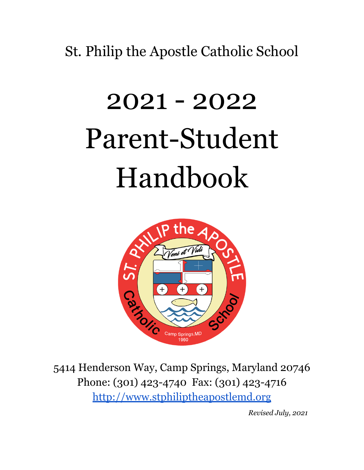St. Philip the Apostle Catholic School

# 2021 - 2022 Parent-Student Handbook



Phone: (301) 423-4740 Fax: (301) 423-4716 <http://www.stphiliptheapostlemd.org>

*Revised July, 2021*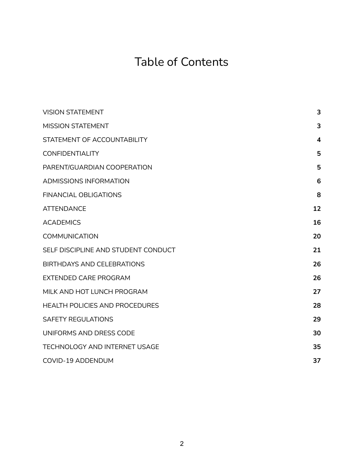# Table of Contents

| <b>VISION STATEMENT</b>             | 3  |
|-------------------------------------|----|
| <b>MISSION STATEMENT</b>            | 3  |
| STATEMENT OF ACCOUNTABILITY         | 4  |
| <b>CONFIDENTIALITY</b>              | 5  |
| PARENT/GUARDIAN COOPERATION         | 5  |
| <b>ADMISSIONS INFORMATION</b>       | 6  |
| <b>FINANCIAL OBLIGATIONS</b>        | 8  |
| <b>ATTENDANCE</b>                   | 12 |
| <b>ACADEMICS</b>                    | 16 |
| <b>COMMUNICATION</b>                | 20 |
| SELF DISCIPLINE AND STUDENT CONDUCT | 21 |
| <b>BIRTHDAYS AND CELEBRATIONS</b>   | 26 |
| <b>EXTENDED CARE PROGRAM</b>        | 26 |
| MILK AND HOT LUNCH PROGRAM          | 27 |
| HEALTH POLICIES AND PROCEDURES      | 28 |
| <b>SAFETY REGULATIONS</b>           | 29 |
| UNIFORMS AND DRESS CODE             | 30 |
| TECHNOLOGY AND INTERNET USAGE       | 35 |
| COVID-19 ADDENDUM                   | 37 |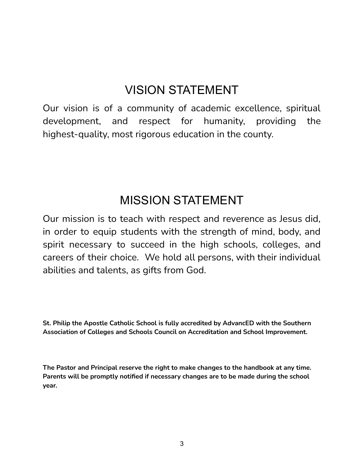# VISION STATEMENT

<span id="page-2-0"></span>Our vision is of a community of academic excellence, spiritual development, and respect for humanity, providing the highest-quality, most rigorous education in the county.

# MISSION STATEMENT

<span id="page-2-1"></span>Our mission is to teach with respect and reverence as Jesus did, in order to equip students with the strength of mind, body, and spirit necessary to succeed in the high schools, colleges, and careers of their choice. We hold all persons, with their individual abilities and talents, as gifts from God.

**St. Philip the Apostle Catholic School is fully accredited by AdvancED with the Southern Association of Colleges and Schools Council on Accreditation and School Improvement.**

**The Pastor and Principal reserve the right to make changes to the handbook at any time. Parents will be promptly notified if necessary changes are to be made during the school year.**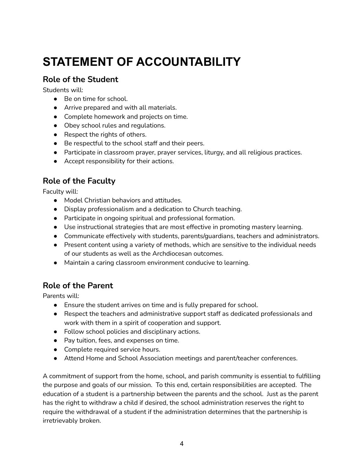# <span id="page-3-0"></span>**STATEMENT OF ACCOUNTABILITY**

#### **Role of the Student**

Students will:

- Be on time for school.
- Arrive prepared and with all materials.
- Complete homework and projects on time.
- Obey school rules and regulations.
- Respect the rights of others.
- Be respectful to the school staff and their peers.
- Participate in classroom prayer, prayer services, liturgy, and all religious practices.
- Accept responsibility for their actions.

#### **Role of the Faculty**

Faculty will:

- Model Christian behaviors and attitudes.
- Display professionalism and a dedication to Church teaching.
- Participate in ongoing spiritual and professional formation.
- Use instructional strategies that are most effective in promoting mastery learning.
- Communicate effectively with students, parents/guardians, teachers and administrators.
- Present content using a variety of methods, which are sensitive to the individual needs of our students as well as the Archdiocesan outcomes.
- Maintain a caring classroom environment conducive to learning.

#### **Role of the Parent**

Parents will:

- Ensure the student arrives on time and is fully prepared for school.
- Respect the teachers and administrative support staff as dedicated professionals and work with them in a spirit of cooperation and support.
- Follow school policies and disciplinary actions.
- Pay tuition, fees, and expenses on time.
- Complete required service hours.
- Attend Home and School Association meetings and parent/teacher conferences.

A commitment of support from the home, school, and parish community is essential to fulfilling the purpose and goals of our mission. To this end, certain responsibilities are accepted. The education of a student is a partnership between the parents and the school. Just as the parent has the right to withdraw a child if desired, the school administration reserves the right to require the withdrawal of a student if the administration determines that the partnership is irretrievably broken.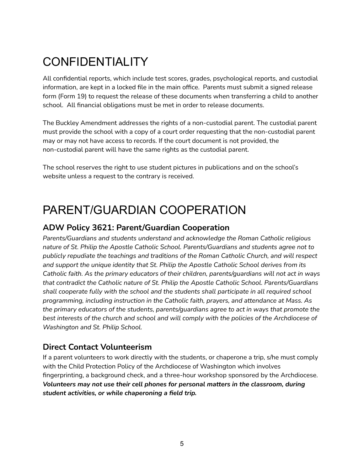# <span id="page-4-0"></span>CONFIDENTIALITY

All confidential reports, which include test scores, grades, psychological reports, and custodial information, are kept in a locked file in the main office. Parents must submit a signed release form (Form 19) to request the release of these documents when transferring a child to another school. All financial obligations must be met in order to release documents.

The Buckley Amendment addresses the rights of a non-custodial parent. The custodial parent must provide the school with a copy of a court order requesting that the non-custodial parent may or may not have access to records. If the court document is not provided, the non-custodial parent will have the same rights as the custodial parent.

The school reserves the right to use student pictures in publications and on the school's website unless a request to the contrary is received.

# <span id="page-4-1"></span>PARENT/GUARDIAN COOPERATION

#### **ADW Policy 3621: Parent/Guardian Cooperation**

*Parents/Guardians and students understand and acknowledge the Roman Catholic religious nature of St. Philip the Apostle Catholic School. Parents/Guardians and students agree not to publicly repudiate the teachings and traditions of the Roman Catholic Church, and will respect and support the unique identity that St. Philip the Apostle Catholic School derives from its Catholic faith. As the primary educators of their children, parents/guardians will not act in ways that contradict the Catholic nature of St. Philip the Apostle Catholic School. Parents/Guardians shall cooperate fully with the school and the students shall participate in all required school programming, including instruction in the Catholic faith, prayers, and attendance at Mass. As the primary educators of the students, parents/guardians agree to act in ways that promote the best interests of the church and school and will comply with the policies of the Archdiocese of Washington and St. Philip School.*

#### **Direct Contact Volunteerism**

If a parent volunteers to work directly with the students, or chaperone a trip, s/he must comply with the Child Protection Policy of the Archdiocese of Washington which involves fingerprinting, a background check, and a three-hour workshop sponsored by the Archdiocese. *Volunteers may not use their cell phones for personal matters in the classroom, during student activities, or while chaperoning a field trip.*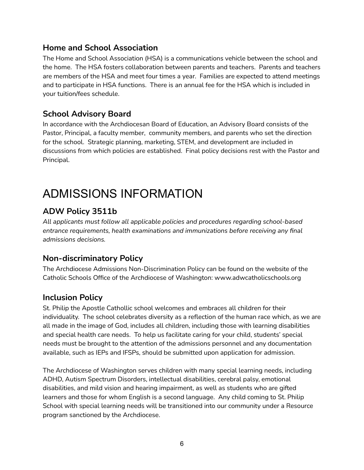#### **Home and School Association**

The Home and School Association (HSA) is a communications vehicle between the school and the home. The HSA fosters collaboration between parents and teachers. Parents and teachers are members of the HSA and meet four times a year. Families are expected to attend meetings and to participate in HSA functions. There is an annual fee for the HSA which is included in your tuition/fees schedule.

#### **School Advisory Board**

In accordance with the Archdiocesan Board of Education, an Advisory Board consists of the Pastor, Principal, a faculty member, community members, and parents who set the direction for the school. Strategic planning, marketing, STEM, and development are included in discussions from which policies are established. Final policy decisions rest with the Pastor and Principal.

# <span id="page-5-0"></span>ADMISSIONS INFORMATION

# **ADW Policy 3511b**

*All applicants must follow all applicable policies and procedures regarding school-based entrance requirements, health examinations and immunizations before receiving any final admissions decisions.*

## **Non-discriminatory Policy**

The Archdiocese Admissions Non-Discrimination Policy can be found on the website of the Catholic Schools Office of the Archdiocese of Washington: [www.adwcatholicschools.org](http://www.adwcatholicschools.org)

## **Inclusion Policy**

St. Philip the Apostle Cathollic school welcomes and embraces all children for their individuality. The school celebrates diversity as a reflection of the human race which, as we are all made in the image of God, includes all children, including those with learning disabilities and special health care needs. To help us facilitate caring for your child, students' special needs must be brought to the attention of the admissions personnel and any documentation available, such as IEPs and IFSPs, should be submitted upon application for admission.

The Archdiocese of Washington serves children with many special learning needs, including ADHD, Autism Spectrum Disorders, intellectual disabilities, cerebral palsy, emotional disabilities, and mild vision and hearing impairment, as well as students who are gifted learners and those for whom English is a second language. Any child coming to St. Philip School with special learning needs will be transitioned into our community under a Resource program sanctioned by the Archdiocese.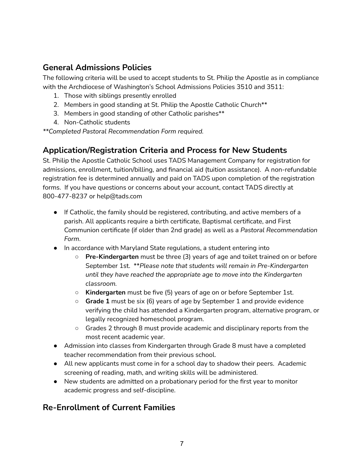#### **General Admissions Policies**

The following criteria will be used to accept students to St. Philip the Apostle as in compliance with the Archdiocese of Washington's School Admissions Policies 3510 and 3511:

- 1. Those with siblings presently enrolled
- 2. Members in good standing at St. Philip the Apostle Catholic Church<sup>\*\*</sup>
- 3. Members in good standing of other Catholic parishes\*\*
- 4. Non-Catholic students

*\*\*Completed Pastoral Recommendation Form required.*

#### **Application/Registration Criteria and Process for New Students**

St. Philip the Apostle Catholic School uses TADS Management Company for registration for admissions, enrollment, tuition/billing, and financial aid (tuition assistance). A non-refundable registration fee is determined annually and paid on TADS upon completion of the registration forms. If you have questions or concerns about your account, contact TADS directly at 800-477-8237 or help@tads.com

- If Catholic, the family should be registered, contributing, and active members of a parish. All applicants require a birth certificate, Baptismal certificate, and First Communion certificate (if older than 2nd grade) as well as a *Pastoral Recommendation Form*.
- In accordance with Maryland State regulations, a student entering into
	- **Pre-Kindergarten** must be three (3) years of age and toilet trained on or before September 1st. \*\**Please note that students will remain in Pre-Kindergarten until they have reached the appropriate age to move into the Kindergarten classroom.*
	- **Kindergarten** must be five (5) years of age on or before September 1st.
	- **Grade 1** must be six (6) years of age by September 1 and provide evidence verifying the child has attended a Kindergarten program, alternative program, or legally recognized homeschool program.
	- Grades 2 through 8 must provide academic and disciplinary reports from the most recent academic year.
- Admission into classes from Kindergarten through Grade 8 must have a completed teacher recommendation from their previous school.
- All new applicants must come in for a school day to shadow their peers. Academic screening of reading, math, and writing skills will be administered.
- New students are admitted on a probationary period for the first year to monitor academic progress and self-discipline.

## **Re-Enrollment of Current Families**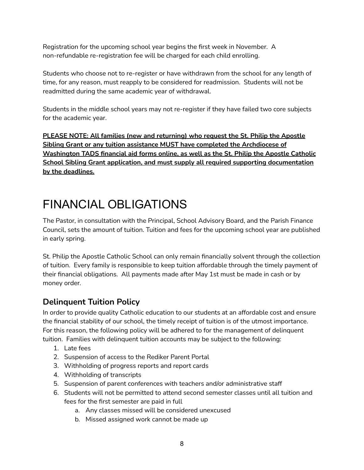Registration for the upcoming school year begins the first week in November. A non-refundable re-registration fee will be charged for each child enrolling.

Students who choose not to re-register or have withdrawn from the school for any length of time, for any reason, must reapply to be considered for readmission. Students will not be readmitted during the same academic year of withdrawal.

Students in the middle school years may not re-register if they have failed two core subjects for the academic year.

**PLEASE NOTE: All families (new and returning) who request the St. Philip the Apostle Sibling Grant or any tuition assistance MUST have completed the Archdiocese of Washington TADS financial aid forms online, as well as the St. Philip the Apostle Catholic School Sibling Grant application, and must supply all required supporting documentation by the deadlines.**

# <span id="page-7-0"></span>FINANCIAL OBLIGATIONS

The Pastor, in consultation with the Principal, School Advisory Board, and the Parish Finance Council, sets the amount of tuition. Tuition and fees for the upcoming school year are published in early spring.

St. Philip the Apostle Catholic School can only remain financially solvent through the collection of tuition. Every family is responsible to keep tuition affordable through the timely payment of their financial obligations. All payments made after May 1st must be made in cash or by money order.

## **Delinquent Tuition Policy**

In order to provide quality Catholic education to our students at an affordable cost and ensure the financial stability of our school, the timely receipt of tuition is of the utmost importance. For this reason, the following policy will be adhered to for the management of delinquent tuition. Families with delinquent tuition accounts may be subject to the following:

- 1. Late fees
- 2. Suspension of access to the Rediker Parent Portal
- 3. Withholding of progress reports and report cards
- 4. Withholding of transcripts
- 5. Suspension of parent conferences with teachers and/or administrative staff
- 6. Students will not be permitted to attend second semester classes until all tuition and fees for the first semester are paid in full
	- a. Any classes missed will be considered unexcused
	- b. Missed assigned work cannot be made up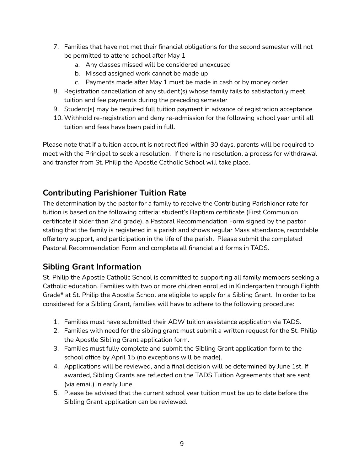- 7. Families that have not met their financial obligations for the second semester will not be permitted to attend school after May 1
	- a. Any classes missed will be considered unexcused
	- b. Missed assigned work cannot be made up
	- c. Payments made after May 1 must be made in cash or by money order
- 8. Registration cancellation of any student(s) whose family fails to satisfactorily meet tuition and fee payments during the preceding semester
- 9. Student(s) may be required full tuition payment in advance of registration acceptance
- 10. Withhold re-registration and deny re-admission for the following school year until all tuition and fees have been paid in full.

Please note that if a tuition account is not rectified within 30 days, parents will be required to meet with the Principal to seek a resolution. If there is no resolution, a process for withdrawal and transfer from St. Philip the Apostle Catholic School will take place.

## **Contributing Parishioner Tuition Rate**

The determination by the pastor for a family to receive the Contributing Parishioner rate for tuition is based on the following criteria: student's Baptism certificate (First Communion certificate if older than 2nd grade), a Pastoral Recommendation Form signed by the pastor stating that the family is registered in a parish and shows regular Mass attendance, recordable offertory support, and participation in the life of the parish. Please submit the completed Pastoral Recommendation Form and complete all financial aid forms in TADS.

## **Sibling Grant Information**

St. Philip the Apostle Catholic School is committed to supporting all family members seeking a Catholic education. Families with two or more children enrolled in Kindergarten through Eighth Grade\* at St. Philip the Apostle School are eligible to apply for a Sibling Grant. In order to be considered for a Sibling Grant, families will have to adhere to the following procedure:

- 1. Families must have submitted their ADW tuition assistance application via TADS.
- 2. Families with need for the sibling grant must submit a written request for the St. Philip the Apostle Sibling Grant application form.
- 3. Families must fully complete and submit the Sibling Grant application form to the school office by April 15 (no exceptions will be made).
- 4. Applications will be reviewed, and a final decision will be determined by June 1st. If awarded, Sibling Grants are reflected on the TADS Tuition Agreements that are sent (via email) in early June.
- 5. Please be advised that the current school year tuition must be up to date before the Sibling Grant application can be reviewed.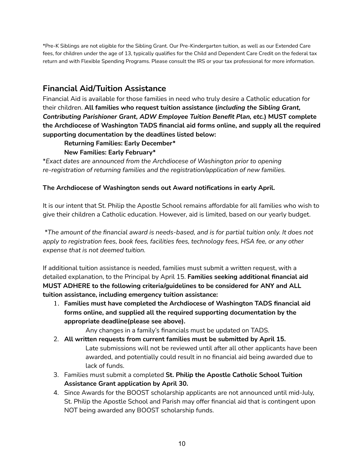\*Pre-K Siblings are not eligible for the Sibling Grant. Our Pre-Kindergarten tuition, as well as our Extended Care fees, for children under the age of 13, typically qualifies for the Child and Dependent Care Credit on the federal tax return and with Flexible Spending Programs. Please consult the IRS or your tax professional for more information.

#### **Financial Aid/Tuition Assistance**

Financial Aid is available for those families in need who truly desire a Catholic education for their children. **All families who request tuition assistance (***including the Sibling Grant, Contributing Parishioner Grant, ADW Employee Tuition Benefit Plan, etc.***) MUST complete the Archdiocese of Washington TADS financial aid forms online, and supply all the required supporting documentation by the deadlines listed below:**

#### **Returning Families: Early December\***

#### **New Families: Early February\***

\**Exact dates are announced from the Archdiocese of Washington prior to opening re-registration of returning families and the registration/application of new families.*

#### **The Archdiocese of Washington sends out Award notifications in early April.**

It is our intent that St. Philip the Apostle School remains affordable for all families who wish to give their children a Catholic education. However, aid is limited, based on our yearly budget.

*\*The amount of the financial award is needs-based, and is for partial tuition only. It does not apply to registration fees, book fees, facilities fees, technology fees, HSA fee, or any other expense that is not deemed tuition.*

If additional tuition assistance is needed, families must submit a written request, with a detailed explanation, to the Principal by April 15. **Families seeking additional financial aid MUST ADHERE to the following criteria/guidelines to be considered for ANY and ALL tuition assistance, including emergency tuition assistance:**

1. **Families must have completed the Archdiocese of Washington TADS financial aid forms online, and supplied all the required supporting documentation by the appropriate deadline(please see above).**

Any changes in a family's financials must be updated on TADS.

- 2. **All written requests from current families must be submitted by April 15.** Late submissions will not be reviewed until after all other applicants have been awarded, and potentially could result in no financial aid being awarded due to lack of funds.
- 3. Families must submit a completed **St. Philip the Apostle Catholic School Tuition Assistance Grant application by April 30.**
- 4. Since Awards for the BOOST scholarship applicants are not announced until mid-July, St. Philip the Apostle School and Parish may offer financial aid that is contingent upon NOT being awarded any BOOST scholarship funds.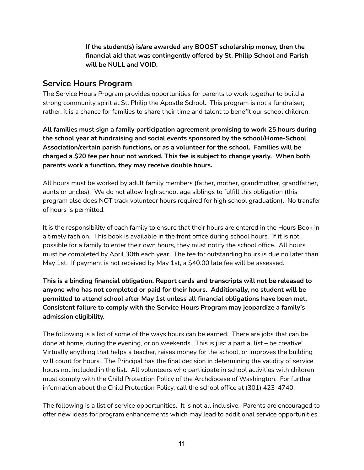**If the student(s) is/are awarded any BOOST scholarship money, then the financial aid that was contingently offered by St. Philip School and Parish will be NULL and VOID.**

#### **Service Hours Program**

The Service Hours Program provides opportunities for parents to work together to build a strong community spirit at St. Philip the Apostle School. This program is not a fundraiser; rather, it is a chance for families to share their time and talent to benefit our school children.

**All families must sign a family participation agreement promising to work 25 hours during the school year at fundraising and social events sponsored by the school/Home-School Association/certain parish functions, or as a volunteer for the school. Families will be charged a \$20 fee per hour not worked. This fee is subject to change yearly. When both parents work a function, they may receive double hours.**

All hours must be worked by adult family members (father, mother, grandmother, grandfather, aunts or uncles). We do not allow high school age siblings to fulfill this obligation (this program also does NOT track volunteer hours required for high school graduation). No transfer of hours is permitted.

It is the responsibility of each family to ensure that their hours are entered in the Hours Book in a timely fashion. This book is available in the front office during school hours. If it is not possible for a family to enter their own hours, they must notify the school office. All hours must be completed by April 30th each year. The fee for outstanding hours is due no later than May 1st. If payment is not received by May 1st, a \$40.00 late fee will be assessed.

**This is a binding financial obligation. Report cards and transcripts will not be released to anyone who has not completed or paid for their hours. Additionally, no student will be permitted to attend school after May 1st unless all financial obligations have been met. Consistent failure to comply with the Service Hours Program may jeopardize a family's admission eligibility.**

The following is a list of some of the ways hours can be earned. There are jobs that can be done at home, during the evening, or on weekends. This is just a partial list – be creative! Virtually anything that helps a teacher, raises money for the school, or improves the building will count for hours. The Principal has the final decision in determining the validity of service hours not included in the list. All volunteers who participate in school activities with children must comply with the Child Protection Policy of the Archdiocese of Washington. For further information about the Child Protection Policy, call the school office at (301) 423-4740.

The following is a list of service opportunities. It is not all inclusive. Parents are encouraged to offer new ideas for program enhancements which may lead to additional service opportunities.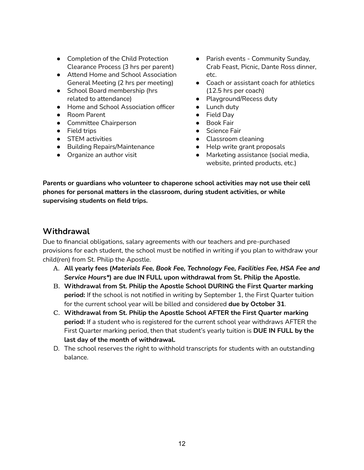- Completion of the Child Protection Clearance Process (3 hrs per parent)
- Attend Home and School Association General Meeting (2 hrs per meeting)
- School Board membership (hrs related to attendance)
- Home and School Association officer
- Room Parent
- Committee Chairperson
- Field trips
- STEM activities
- Building Repairs/Maintenance
- Organize an author visit
- Parish events Community Sunday, Crab Feast, Picnic, Dante Ross dinner, etc.
- Coach or assistant coach for athletics (12.5 hrs per coach)
- Playground/Recess duty
- Lunch duty
- Field Day
- Book Fair
- Science Fair
- Classroom cleaning
- Help write grant proposals
- Marketing assistance (social media, website, printed products, etc.)

**Parents or guardians who volunteer to chaperone school activities may not use their cell phones for personal matters in the classroom, during student activities, or while supervising students on field trips.**

#### **Withdrawal**

Due to financial obligations, salary agreements with our teachers and pre-purchased provisions for each student, the school must be notified in writing if you plan to withdraw your child(ren) from St. Philip the Apostle.

- A. **All yearly fees (***Materials Fee, Book Fee, Technology Fee, Facilities Fee, HSA Fee and Service Hours\****) are due IN FULL upon withdrawal from St. Philip the Apostle.**
- B. **Withdrawal from St. Philip the Apostle School DURING the First Quarter marking period:** If the school is not notified in writing by September 1, the First Quarter tuition for the current school year will be billed and considered **due by October 31**.
- C. **Withdrawal from St. Philip the Apostle School AFTER the First Quarter marking period:** If a student who is registered for the current school year withdraws AFTER the First Quarter marking period, then that student's yearly tuition is **DUE IN FULL by the last day of the month of withdrawal.**
- D. The school reserves the right to withhold transcripts for students with an outstanding balance.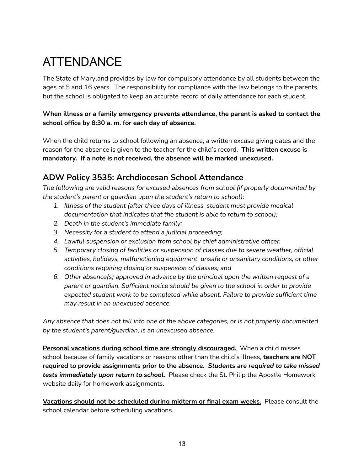# <span id="page-12-0"></span>ATTENDANCE

The State of Maryland provides by law for compulsory attendance by all students between the ages of 5 and 16 years. The responsibility for compliance with the law belongs to the parents, but the school is obligated to keep an accurate record of daily attendance for each student.

**When illness or a family emergency prevents attendance, the parent is asked to contact the school office by 8:30 a. m. for each day of absence.**

When the child returns to school following an absence, a written excuse giving dates and the reason for the absence is given to the teacher for the child's record. **This written excuse is mandatory. If a note is not received, the absence will be marked unexcused.**

## **ADW Policy 3535: Archdiocesan School Attendance**

*The following are valid reasons for excused absences from school (if properly documented by the student's parent or guardian upon the student's return to school):*

- *1. Illness of the student (after three days of illness, student must provide medical documentation that indicates that the student is able to return to school);*
- *2. Death in the student's immediate family;*
- *3. Necessity for a student to attend a judicial proceeding;*
- *4. Lawful suspension or exclusion from school by chief administrative officer.*
- *5. Temporary closing of facilities or suspension of classes due to severe weather, official activities, holidays, malfunctioning equipment, unsafe or unsanitary conditions, or other conditions requiring closing or suspension of classes; and*
- *6. Other absence(s) approved in advance by the principal upon the written request of a parent or guardian. Sufficient notice should be given to the school in order to provide expected student work to be completed while absent. Failure to provide sufficient time may result in an unexcused absence.*

*Any absence that does not fall into one of the above categories, or is not properly documented by the student's parent/guardian, is an unexcused absence.*

**Personal vacations during school time are strongly discouraged.** When a child misses school because of family vacations or reasons other than the child's illness, **teachers are NOT required to provide assignments prior to the absence.** *Students are required to take missed tests immediately upon return to school.* Please check the St. Philip the Apostle Homework website daily for homework assignments.

**Vacations should not be scheduled during midterm or final exam weeks.** Please consult the school calendar before scheduling vacations.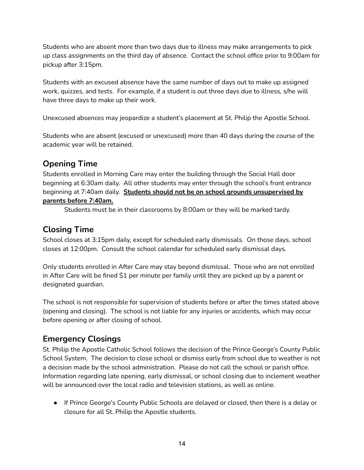Students who are absent more than two days due to illness may make arrangements to pick up class assignments on the third day of absence. Contact the school office prior to 9:00am for pickup after 3:15pm.

Students with an excused absence have the same number of days out to make up assigned work, quizzes, and tests. For example, if a student is out three days due to illness, s/he will have three days to make up their work.

Unexcused absences may jeopardize a student's placement at St. Philip the Apostle School.

Students who are absent (excused or unexcused) more than 40 days during the course of the academic year will be retained.

# **Opening Time**

Students enrolled in Morning Care may enter the building through the Social Hall door beginning at 6:30am daily. All other students may enter through the school's front entrance beginning at 7:40am daily. **Students should not be on school grounds unsupervised by parents before 7:40am.**

Students must be in their classrooms by 8:00am or they will be marked tardy.

# **Closing Time**

School closes at 3:15pm daily, except for scheduled early dismissals. On those days, school closes at 12:00pm. Consult the school calendar for scheduled early dismissal days.

Only students enrolled in After Care may stay beyond dismissal. Those who are not enrolled in After Care will be fined \$1 per minute per family until they are picked up by a parent or designated guardian.

The school is not responsible for supervision of students before or after the times stated above (opening and closing). The school is not liable for any injuries or accidents, which may occur before opening or after closing of school.

## **Emergency Closings**

St. Philip the Apostle Catholic School follows the decision of the Prince George's County Public School System. The decision to close school or dismiss early from school due to weather is not a decision made by the school administration. Please do not call the school or parish office. Information regarding late opening, early dismissal, or school closing due to inclement weather will be announced over the local radio and television stations, as well as online.

● If Prince George's County Public Schools are delayed or closed, then there is a delay or closure for all St. Philip the Apostle students.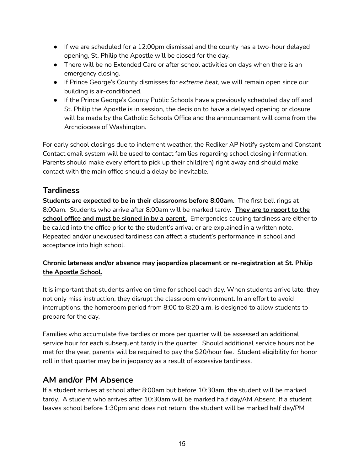- If we are scheduled for a 12:00pm dismissal and the county has a two-hour delayed opening, St. Philip the Apostle will be closed for the day.
- There will be no Extended Care or after school activities on days when there is an emergency closing.
- If Prince George's County dismisses for *extreme heat*, we will remain open since our building is air-conditioned.
- If the Prince George's County Public Schools have a previously scheduled day off and St. Philip the Apostle is in session, the decision to have a delayed opening or closure will be made by the Catholic Schools Office and the announcement will come from the Archdiocese of Washington.

For early school closings due to inclement weather, the Rediker AP Notify system and Constant Contact email system will be used to contact families regarding school closing information. Parents should make every effort to pick up their child(ren) right away and should make contact with the main office should a delay be inevitable.

#### **Tardiness**

**Students are expected to be in their classrooms before 8:00am.** The first bell rings at 8:00am. Students who arrive after 8:00am will be marked tardy. **They are to report to the school office and must be signed in by a parent.** Emergencies causing tardiness are either to be called into the office prior to the student's arrival or are explained in a written note. Repeated and/or unexcused tardiness can affect a student's performance in school and acceptance into high school.

#### **Chronic lateness and/or absence may jeopardize placement or re-registration at St. Philip the Apostle School.**

It is important that students arrive on time for school each day. When students arrive late, they not only miss instruction, they disrupt the classroom environment. In an effort to avoid interruptions, the homeroom period from 8:00 to 8:20 a.m. is designed to allow students to prepare for the day.

Families who accumulate five tardies or more per quarter will be assessed an additional service hour for each subsequent tardy in the quarter. Should additional service hours not be met for the year, parents will be required to pay the \$20/hour fee. Student eligibility for honor roll in that quarter may be in jeopardy as a result of excessive tardiness.

## **AM and/or PM Absence**

If a student arrives at school after 8:00am but before 10:30am, the student will be marked tardy. A student who arrives after 10:30am will be marked half day/AM Absent. If a student leaves school before 1:30pm and does not return, the student will be marked half day/PM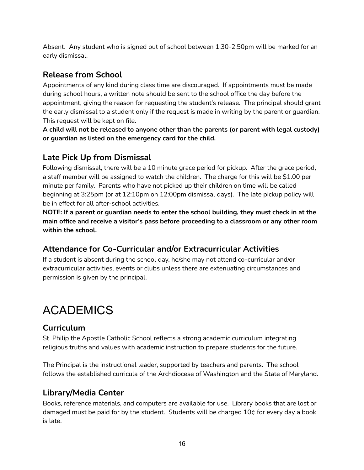Absent. Any student who is signed out of school between 1:30-2:50pm will be marked for an early dismissal.

# **Release from School**

Appointments of any kind during class time are discouraged. If appointments must be made during school hours, a written note should be sent to the school office the day before the appointment, giving the reason for requesting the student's release. The principal should grant the early dismissal to a student only if the request is made in writing by the parent or guardian. This request will be kept on file.

**A child will not be released to anyone other than the parents (or parent with legal custody) or guardian as listed on the emergency card for the child.**

## **Late Pick Up from Dismissal**

Following dismissal, there will be a 10 minute grace period for pickup. After the grace period, a staff member will be assigned to watch the children. The charge for this will be \$1.00 per minute per family. Parents who have not picked up their children on time will be called beginning at 3:25pm (or at 12:10pm on 12:00pm dismissal days). The late pickup policy will be in effect for all after-school activities.

**NOTE: If a parent or guardian needs to enter the school building, they must check in at the main office and receive a visitor's pass before proceeding to a classroom or any other room within the school.**

# **Attendance for Co-Curricular and/or Extracurricular Activities**

If a student is absent during the school day, he/she may not attend co-curricular and/or extracurricular activities, events or clubs unless there are extenuating circumstances and permission is given by the principal.

# <span id="page-15-0"></span>ACADEMICS

# **Curriculum**

St. Philip the Apostle Catholic School reflects a strong academic curriculum integrating religious truths and values with academic instruction to prepare students for the future.

The Principal is the instructional leader, supported by teachers and parents. The school follows the established curricula of the Archdiocese of Washington and the State of Maryland.

## **Library/Media Center**

Books, reference materials, and computers are available for use. Library books that are lost or damaged must be paid for by the student. Students will be charged 10¢ for every day a book is late.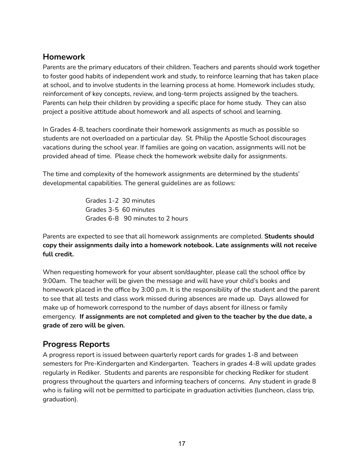#### **Homework**

Parents are the primary educators of their children. Teachers and parents should work together to foster good habits of independent work and study, to reinforce learning that has taken place at school, and to involve students in the learning process at home. Homework includes study, reinforcement of key concepts, review, and long-term projects assigned by the teachers. Parents can help their children by providing a specific place for home study. They can also project a positive attitude about homework and all aspects of school and learning.

In Grades 4-8, teachers coordinate their homework assignments as much as possible so students are not overloaded on a particular day. St. Philip the Apostle School discourages vacations during the school year. If families are going on vacation, assignments will not be provided ahead of time. Please check the homework website daily for assignments.

The time and complexity of the homework assignments are determined by the students' developmental capabilities. The general guidelines are as follows:

> Grades 1-2 30 minutes Grades 3-5 60 minutes Grades 6-8 90 minutes to 2 hours

Parents are expected to see that all homework assignments are completed. **Students should copy their assignments daily into a homework notebook. Late assignments will not receive full credit.**

When requesting homework for your absent son/daughter, please call the school office by 9:00am. The teacher will be given the message and will have your child's books and homework placed in the office by 3:00 p.m. It is the responsibility of the student and the parent to see that all tests and class work missed during absences are made up. Days allowed for make up of homework correspond to the number of days absent for illness or family emergency. **If assignments are not completed and given to the teacher by the due date, a grade of zero will be given.**

#### **Progress Reports**

A progress report is issued between quarterly report cards for grades 1-8 and between semesters for Pre-Kindergarten and Kindergarten. Teachers in grades 4-8 will update grades regularly in Rediker. Students and parents are responsible for checking Rediker for student progress throughout the quarters and informing teachers of concerns. Any student in grade 8 who is failing will not be permitted to participate in graduation activities (luncheon, class trip, graduation).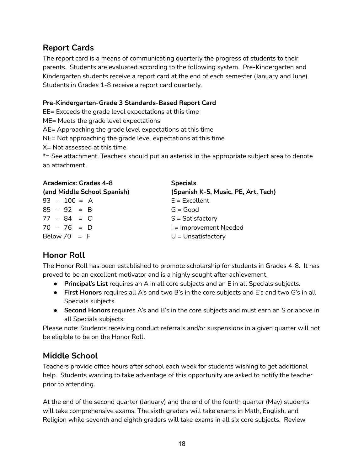#### **Report Cards**

The report card is a means of communicating quarterly the progress of students to their parents. Students are evaluated according to the following system. Pre-Kindergarten and Kindergarten students receive a report card at the end of each semester (January and June). Students in Grades 1-8 receive a report card quarterly.

#### **Pre-Kindergarten-Grade 3 Standards-Based Report Card**

EE= Exceeds the grade level expectations at this time

ME= Meets the grade level expectations

AE= Approaching the grade level expectations at this time

NE= Not approaching the grade level expectations at this time

X= Not assessed at this time

\*= See attachment. Teachers should put an asterisk in the appropriate subject area to denote an attachment.

| <b>Academics: Grades 4-8</b> | <b>Specials</b>                     |
|------------------------------|-------------------------------------|
| (and Middle School Spanish)  | (Spanish K-5, Music, PE, Art, Tech) |
| $93 - 100 = A$               | $E = Excellent$                     |
| $85 - 92 = B$                | $G = Good$                          |
| $77 - 84 = C$                | $S = Satisfactory$                  |
| $70 - 76 = D$                | I = Improvement Needed              |
| Below 70 $=$ F               | $U =$ Unsatisfactory                |

## **Honor Roll**

The Honor Roll has been established to promote scholarship for students in Grades 4-8. It has proved to be an excellent motivator and is a highly sought after achievement.

- **Principal's List** requires an A in all core subjects and an E in all Specials subjects.
- **First Honors** requires all A's and two B's in the core subjects and E's and two G's in all Specials subjects.
- **Second Honors** requires A's and B's in the core subjects and must earn an S or above in all Specials subjects.

Please note: Students receiving conduct referrals and/or suspensions in a given quarter will not be eligible to be on the Honor Roll.

## **Middle School**

Teachers provide office hours after school each week for students wishing to get additional help. Students wanting to take advantage of this opportunity are asked to notify the teacher prior to attending.

At the end of the second quarter (January) and the end of the fourth quarter (May) students will take comprehensive exams. The sixth graders will take exams in Math, English, and Religion while seventh and eighth graders will take exams in all six core subjects. Review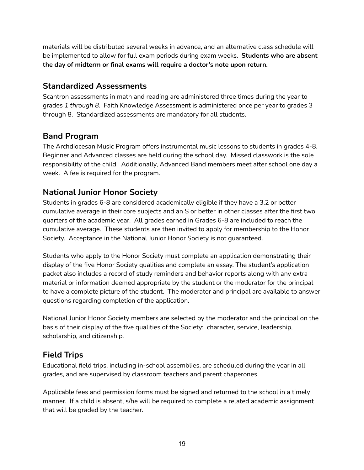materials will be distributed several weeks in advance, and an alternative class schedule will be implemented to allow for full exam periods during exam weeks. **Students who are absent the day of midterm or final exams will require a doctor's note upon return.**

#### **Standardized Assessments**

Scantron assessments in math and reading are administered three times during the year to grades *1 through 8*. Faith Knowledge Assessment is administered once per year to grades 3 through 8. Standardized assessments are mandatory for all students.

#### **Band Program**

The Archdiocesan Music Program offers instrumental music lessons to students in grades 4-8. Beginner and Advanced classes are held during the school day. Missed classwork is the sole responsibility of the child. Additionally, Advanced Band members meet after school one day a week. A fee is required for the program.

#### **National Junior Honor Society**

Students in grades 6-8 are considered academically eligible if they have a 3.2 or better cumulative average in their core subjects and an S or better in other classes after the first two quarters of the academic year. All grades earned in Grades 6-8 are included to reach the cumulative average. These students are then invited to apply for membership to the Honor Society. Acceptance in the National Junior Honor Society is not guaranteed.

Students who apply to the Honor Society must complete an application demonstrating their display of the five Honor Society qualities and complete an essay. The student's application packet also includes a record of study reminders and behavior reports along with any extra material or information deemed appropriate by the student or the moderator for the principal to have a complete picture of the student. The moderator and principal are available to answer questions regarding completion of the application.

National Junior Honor Society members are selected by the moderator and the principal on the basis of their display of the five qualities of the Society: character, service, leadership, scholarship, and citizenship.

## **Field Trips**

Educational field trips, including in-school assemblies, are scheduled during the year in all grades, and are supervised by classroom teachers and parent chaperones.

Applicable fees and permission forms must be signed and returned to the school in a timely manner. If a child is absent, s/he will be required to complete a related academic assignment that will be graded by the teacher.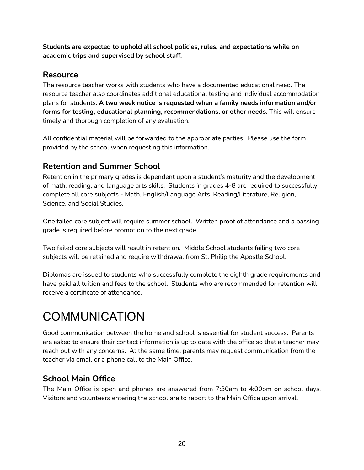**Students are expected to uphold all school policies, rules, and expectations while on academic trips and supervised by school staff.**

#### **Resource**

The resource teacher works with students who have a documented educational need. The resource teacher also coordinates additional educational testing and individual accommodation plans for students. **A two week notice is requested when a family needs information and/or forms for testing, educational planning, recommendations, or other needs.** This will ensure timely and thorough completion of any evaluation.

All confidential material will be forwarded to the appropriate parties. Please use the form provided by the school when requesting this information.

#### **Retention and Summer School**

Retention in the primary grades is dependent upon a student's maturity and the development of math, reading, and language arts skills. Students in grades 4-8 are required to successfully complete all core subjects - Math, English/Language Arts, Reading/Literature, Religion, Science, and Social Studies.

One failed core subject will require summer school. Written proof of attendance and a passing grade is required before promotion to the next grade.

Two failed core subjects will result in retention. Middle School students failing two core subjects will be retained and require withdrawal from St. Philip the Apostle School.

Diplomas are issued to students who successfully complete the eighth grade requirements and have paid all tuition and fees to the school. Students who are recommended for retention will receive a certificate of attendance.

# <span id="page-19-0"></span>COMMUNICATION

Good communication between the home and school is essential for student success. Parents are asked to ensure their contact information is up to date with the office so that a teacher may reach out with any concerns. At the same time, parents may request communication from the teacher via email or a phone call to the Main Office.

## **School Main Office**

The Main Office is open and phones are answered from 7:30am to 4:00pm on school days. Visitors and volunteers entering the school are to report to the Main Office upon arrival.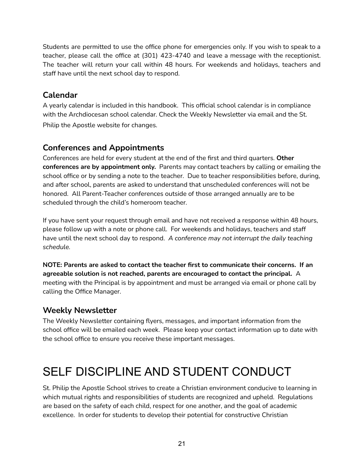Students are permitted to use the office phone for emergencies only. If you wish to speak to a teacher, please call the office at (301) 423-4740 and leave a message with the receptionist. The teacher will return your call within 48 hours. For weekends and holidays, teachers and staff have until the next school day to respond.

# **Calendar**

A yearly calendar is included in this handbook. This official school calendar is in compliance with the Archdiocesan school calendar. Check the Weekly Newsletter via email and the St. Philip the Apostle website for changes.

## **Conferences and Appointments**

Conferences are held for every student at the end of the first and third quarters. **Other conferences are by appointment only.** Parents may contact teachers by calling or emailing the school office or by sending a note to the teacher. Due to teacher responsibilities before, during, and after school, parents are asked to understand that unscheduled conferences will not be honored. All Parent-Teacher conferences outside of those arranged annually are to be scheduled through the child's homeroom teacher.

If you have sent your request through email and have not received a response within 48 hours, please follow up with a note or phone call. For weekends and holidays, teachers and staff have until the next school day to respond. *A conference may not interrupt the daily teaching schedule.*

**NOTE: Parents are asked to contact the teacher first to communicate their concerns. If an agreeable solution is not reached, parents are encouraged to contact the principal.** A meeting with the Principal is by appointment and must be arranged via email or phone call by calling the Office Manager.

## **Weekly Newsletter**

The Weekly Newsletter containing flyers, messages, and important information from the school office will be emailed each week. Please keep your contact information up to date with the school office to ensure you receive these important messages.

# <span id="page-20-0"></span>SELF DISCIPLINE AND STUDENT CONDUCT

St. Philip the Apostle School strives to create a Christian environment conducive to learning in which mutual rights and responsibilities of students are recognized and upheld. Regulations are based on the safety of each child, respect for one another, and the goal of academic excellence. In order for students to develop their potential for constructive Christian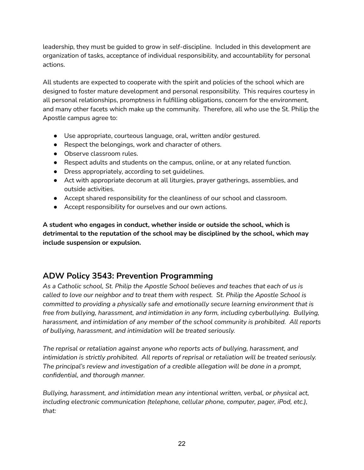leadership, they must be guided to grow in self-discipline. Included in this development are organization of tasks, acceptance of individual responsibility, and accountability for personal actions.

All students are expected to cooperate with the spirit and policies of the school which are designed to foster mature development and personal responsibility. This requires courtesy in all personal relationships, promptness in fulfilling obligations, concern for the environment, and many other facets which make up the community. Therefore, all who use the St. Philip the Apostle campus agree to:

- Use appropriate, courteous language, oral, written and/or gestured.
- Respect the belongings, work and character of others.
- Observe classroom rules.
- Respect adults and students on the campus, online, or at any related function.
- Dress appropriately, according to set guidelines.
- Act with appropriate decorum at all liturgies, prayer gatherings, assemblies, and outside activities.
- Accept shared responsibility for the cleanliness of our school and classroom.
- Accept responsibility for ourselves and our own actions.

**A student who engages in conduct, whether inside or outside the school, which is detrimental to the reputation of the school may be disciplined by the school, which may include suspension or expulsion.**

## **ADW Policy 3543: Prevention Programming**

*As a Catholic school, St. Philip the Apostle School believes and teaches that each of us is called to love our neighbor and to treat them with respect. St. Philip the Apostle School is committed to providing a physically safe and emotionally secure learning environment that is free from bullying, harassment, and intimidation in any form, including cyberbullying. Bullying, harassment, and intimidation of any member of the school community is prohibited. All reports of bullying, harassment, and intimidation will be treated seriously.*

*The reprisal or retaliation against anyone who reports acts of bullying, harassment, and intimidation is strictly prohibited. All reports of reprisal or retaliation will be treated seriously. The principal's review and investigation of a credible allegation will be done in a prompt, confidential, and thorough manner.*

*Bullying, harassment, and intimidation mean any intentional written, verbal, or physical act, including electronic communication (telephone, cellular phone, computer, pager, iPod, etc.), that:*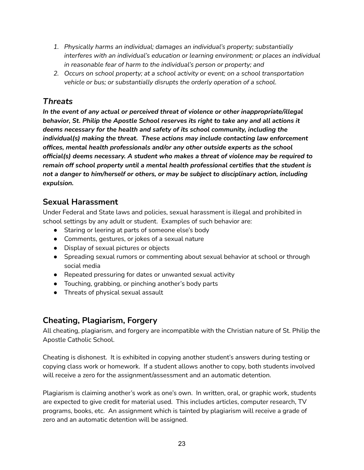- *1. Physically harms an individual; damages an individual's property; substantially interferes with an individual's education or learning environment; or places an individual in reasonable fear of harm to the individual's person or property; and*
- *2. Occurs on school property; at a school activity or event; on a school transportation vehicle or bus; or substantially disrupts the orderly operation of a school.*

# *Threats*

*In the event of any actual or perceived threat of violence or other inappropriate/illegal behavior, St. Philip the Apostle School reserves its right to take any and all actions it deems necessary for the health and safety of its school community, including the individual(s) making the threat. These actions may include contacting law enforcement offices, mental health professionals and/or any other outside experts as the school official(s) deems necessary. A student who makes a threat of violence may be required to remain off school property until a mental health professional certifies that the student is not a danger to him/herself or others, or may be subject to disciplinary action, including expulsion.*

## **Sexual Harassment**

Under Federal and State laws and policies, sexual harassment is illegal and prohibited in school settings by any adult or student. Examples of such behavior are:

- Staring or leering at parts of someone else's body
- Comments, gestures, or jokes of a sexual nature
- Display of sexual pictures or objects
- Spreading sexual rumors or commenting about sexual behavior at school or through social media
- Repeated pressuring for dates or unwanted sexual activity
- Touching, grabbing, or pinching another's body parts
- Threats of physical sexual assault

## **Cheating, Plagiarism, Forgery**

All cheating, plagiarism, and forgery are incompatible with the Christian nature of St. Philip the Apostle Catholic School.

Cheating is dishonest. It is exhibited in copying another student's answers during testing or copying class work or homework. If a student allows another to copy, both students involved will receive a zero for the assignment/assessment and an automatic detention.

Plagiarism is claiming another's work as one's own. In written, oral, or graphic work, students are expected to give credit for material used. This includes articles, computer research, TV programs, books, etc. An assignment which is tainted by plagiarism will receive a grade of zero and an automatic detention will be assigned.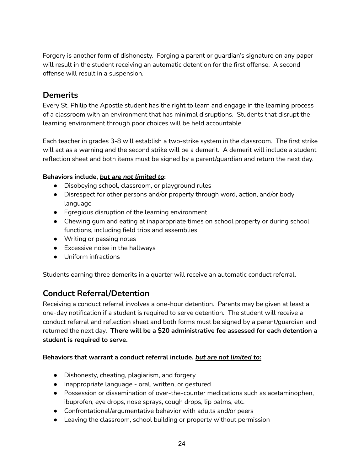Forgery is another form of dishonesty. Forging a parent or guardian's signature on any paper will result in the student receiving an automatic detention for the first offense. A second offense will result in a suspension.

#### **Demerits**

Every St. Philip the Apostle student has the right to learn and engage in the learning process of a classroom with an environment that has minimal disruptions. Students that disrupt the learning environment through poor choices will be held accountable.

Each teacher in grades 3-8 will establish a two-strike system in the classroom. The first strike will act as a warning and the second strike will be a demerit. A demerit will include a student reflection sheet and both items must be signed by a parent/guardian and return the next day.

#### **Behaviors include,** *but are not limited to***:**

- Disobeying school, classroom, or playground rules
- Disrespect for other persons and/or property through word, action, and/or body language
- Egregious disruption of the learning environment
- Chewing gum and eating at inappropriate times on school property or during school functions, including field trips and assemblies
- Writing or passing notes
- Excessive noise in the hallways
- Uniform infractions

Students earning three demerits in a quarter will receive an automatic conduct referral.

## **Conduct Referral/Detention**

Receiving a conduct referral involves a one-hour detention. Parents may be given at least a one-day notification if a student is required to serve detention. The student will receive a conduct referral and reflection sheet and both forms must be signed by a parent/guardian and returned the next day. **There will be a \$20 administrative fee assessed for each detention a student is required to serve.**

#### **Behaviors that warrant a conduct referral include,** *but are not limited to:*

- Dishonesty, cheating, plagiarism, and forgery
- Inappropriate language oral, written, or gestured
- Possession or dissemination of over-the-counter medications such as acetaminophen, ibuprofen, eye drops, nose sprays, cough drops, lip balms, etc.
- Confrontational/argumentative behavior with adults and/or peers
- Leaving the classroom, school building or property without permission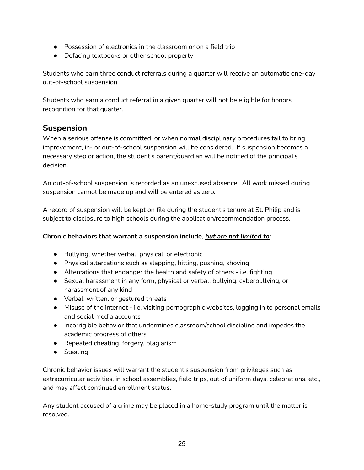- Possession of electronics in the classroom or on a field trip
- Defacing textbooks or other school property

Students who earn three conduct referrals during a quarter will receive an automatic one-day out-of-school suspension.

Students who earn a conduct referral in a given quarter will not be eligible for honors recognition for that quarter.

#### **Suspension**

When a serious offense is committed, or when normal disciplinary procedures fail to bring improvement, in- or out-of-school suspension will be considered. If suspension becomes a necessary step or action, the student's parent/guardian will be notified of the principal's decision.

An out-of-school suspension is recorded as an unexcused absence. All work missed during suspension cannot be made up and will be entered as zero.

A record of suspension will be kept on file during the student's tenure at St. Philip and is subject to disclosure to high schools during the application/recommendation process.

#### **Chronic behaviors that warrant a suspension include,** *but are not limited to***:**

- Bullying, whether verbal, physical, or electronic
- Physical altercations such as slapping, hitting, pushing, shoving
- Altercations that endanger the health and safety of others i.e. fighting
- Sexual harassment in any form, physical or verbal, bullying, cyberbullying, or harassment of any kind
- Verbal, written, or gestured threats
- Misuse of the internet i.e. visiting pornographic websites, logging in to personal emails and social media accounts
- Incorrigible behavior that undermines classroom/school discipline and impedes the academic progress of others
- Repeated cheating, forgery, plagiarism
- Stealing

Chronic behavior issues will warrant the student's suspension from privileges such as extracurricular activities, in school assemblies, field trips, out of uniform days, celebrations, etc., and may affect continued enrollment status.

Any student accused of a crime may be placed in a home-study program until the matter is resolved.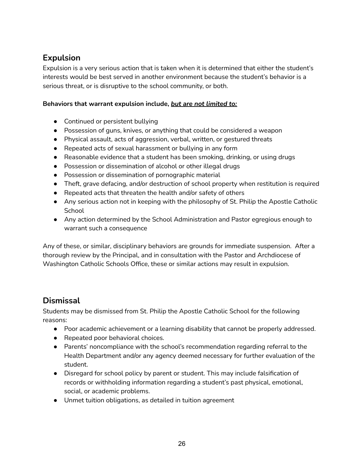# **Expulsion**

Expulsion is a very serious action that is taken when it is determined that either the student's interests would be best served in another environment because the student's behavior is a serious threat, or is disruptive to the school community, or both.

#### **Behaviors that warrant expulsion include,** *but are not limited to:*

- Continued or persistent bullying
- Possession of guns, knives, or anything that could be considered a weapon
- Physical assault, acts of aggression, verbal, written, or gestured threats
- Repeated acts of sexual harassment or bullying in any form
- Reasonable evidence that a student has been smoking, drinking, or using drugs
- Possession or dissemination of alcohol or other illegal drugs
- Possession or dissemination of pornographic material
- Theft, grave defacing, and/or destruction of school property when restitution is required
- Repeated acts that threaten the health and/or safety of others
- Any serious action not in keeping with the philosophy of St. Philip the Apostle Catholic **School**
- Any action determined by the School Administration and Pastor egregious enough to warrant such a consequence

Any of these, or similar, disciplinary behaviors are grounds for immediate suspension. After a thorough review by the Principal, and in consultation with the Pastor and Archdiocese of Washington Catholic Schools Office, these or similar actions may result in expulsion.

## **Dismissal**

Students may be dismissed from St. Philip the Apostle Catholic School for the following reasons:

- Poor academic achievement or a learning disability that cannot be properly addressed.
- Repeated poor behavioral choices.
- Parents' noncompliance with the school's recommendation regarding referral to the Health Department and/or any agency deemed necessary for further evaluation of the student.
- Disregard for school policy by parent or student. This may include falsification of records or withholding information regarding a student's past physical, emotional, social, or academic problems.
- Unmet tuition obligations, as detailed in tuition agreement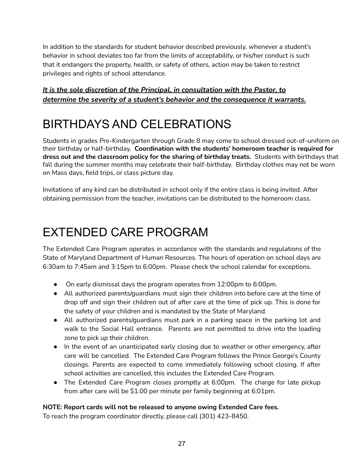In addition to the standards for student behavior described previously, whenever a student's behavior in school deviates too far from the limits of acceptability, or his/her conduct is such that it endangers the property, health, or safety of others, action may be taken to restrict privileges and rights of school attendance.

#### *It is the sole discretion of the Principal, in consultation with the Pastor, to determine the severity of a student's behavior and the consequence it warrants.*

# <span id="page-26-0"></span>BIRTHDAYS AND CELEBRATIONS

Students in grades Pre-Kindergarten through Grade 8 may come to school dressed out-of-uniform on their birthday or half-birthday. **Coordination with the students' homeroom teacher is required for dress out and the classroom policy for the sharing of birthday treats.** Students with birthdays that fall during the summer months may celebrate their half-birthday. Birthday clothes may not be worn on Mass days, field trips, or class picture day.

Invitations of any kind can be distributed in school only if the entire class is being invited. After obtaining permission from the teacher, invitations can be distributed to the homeroom class.

# <span id="page-26-1"></span>EXTENDED CARE PROGRAM

The Extended Care Program operates in accordance with the standards and regulations of the State of Maryland Department of Human Resources. The hours of operation on school days are 6:30am to 7:45am and 3:15pm to 6:00pm. Please check the school calendar for exceptions.

- On early dismissal days the program operates from 12:00pm to 6:00pm.
- All authorized parents/guardians must sign their children into before care at the time of drop off and sign their children out of after care at the time of pick up. This is done for the safety of your children and is mandated by the State of Maryland.
- All authorized parents/guardians must park in a parking space in the parking lot and walk to the Social Hall entrance. Parents are not permitted to drive into the loading zone to pick up their children.
- In the event of an unanticipated early closing due to weather or other emergency, after care will be cancelled. The Extended Care Program follows the Prince George's County closings. Parents are expected to come immediately following school closing. If after school activities are cancelled, this includes the Extended Care Program.
- The Extended Care Program closes promptly at 6:00pm. The charge for late pickup from after care will be \$1.00 per minute per family beginning at 6:01pm.

#### **NOTE: Report cards will not be released to anyone owing Extended Care fees.**

To reach the program coordinator directly, please call (301) 423-8450.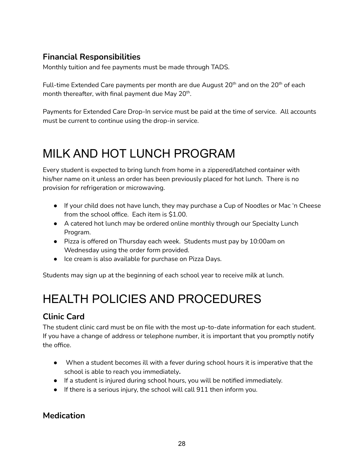# **Financial Responsibilities**

Monthly tuition and fee payments must be made through TADS.

Full-time Extended Care payments per month are due August 20<sup>th</sup> and on the 20<sup>th</sup> of each month thereafter, with final payment due May 20<sup>th</sup>.

Payments for Extended Care Drop-In service must be paid at the time of service. All accounts must be current to continue using the drop-in service.

# <span id="page-27-0"></span>MILK AND HOT LUNCH PROGRAM

Every student is expected to bring lunch from home in a zippered/latched container with his/her name on it unless an order has been previously placed for hot lunch. There is no provision for refrigeration or microwaving.

- If your child does not have lunch, they may purchase a Cup of Noodles or Mac 'n Cheese from the school office. Each item is \$1.00.
- A catered hot lunch may be ordered online monthly through our Specialty Lunch Program.
- Pizza is offered on Thursday each week. Students must pay by 10:00am on Wednesday using the order form provided.
- Ice cream is also available for purchase on Pizza Days.

<span id="page-27-1"></span>Students may sign up at the beginning of each school year to receive milk at lunch.

# HEALTH POLICIES AND PROCEDURES

# **Clinic Card**

The student clinic card must be on file with the most up-to-date information for each student. If you have a change of address or telephone number, it is important that you promptly notify the office.

- When a student becomes ill with a fever during school hours it is imperative that the school is able to reach you immediately**.**
- If a student is injured during school hours, you will be notified immediately.
- If there is a serious injury, the school will call 911 then inform you.

#### **Medication**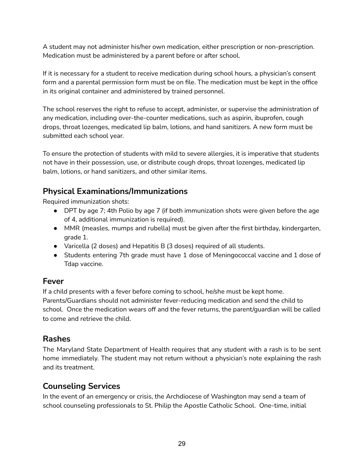A student may not administer his/her own medication, either prescription or non-prescription. Medication must be administered by a parent before or after school.

If it is necessary for a student to receive medication during school hours, a physician's consent form and a parental permission form must be on file. The medication must be kept in the office in its original container and administered by trained personnel.

The school reserves the right to refuse to accept, administer, or supervise the administration of any medication, including over-the-counter medications, such as aspirin, ibuprofen, cough drops, throat lozenges, medicated lip balm, lotions, and hand sanitizers. A new form must be submitted each school year.

To ensure the protection of students with mild to severe allergies, it is imperative that students not have in their possession, use, or distribute cough drops, throat lozenges, medicated lip balm, lotions, or hand sanitizers, and other similar items.

## **Physical Examinations/Immunizations**

Required immunization shots:

- DPT by age 7; 4th Polio by age 7 (if both immunization shots were given before the age of 4, additional immunization is required).
- MMR (measles, mumps and rubella) must be given after the first birthday, kindergarten, grade 1.
- Varicella (2 doses) and Hepatitis B (3 doses) required of all students.
- Students entering 7th grade must have 1 dose of Meningococcal vaccine and 1 dose of Tdap vaccine.

#### **Fever**

If a child presents with a fever before coming to school, he/she must be kept home. Parents/Guardians should not administer fever-reducing medication and send the child to school. Once the medication wears off and the fever returns, the parent/guardian will be called to come and retrieve the child.

#### **Rashes**

The Maryland State Department of Health requires that any student with a rash is to be sent home immediately. The student may not return without a physician's note explaining the rash and its treatment.

## **Counseling Services**

In the event of an emergency or crisis, the Archdiocese of Washington may send a team of school counseling professionals to St. Philip the Apostle Catholic School. One-time, initial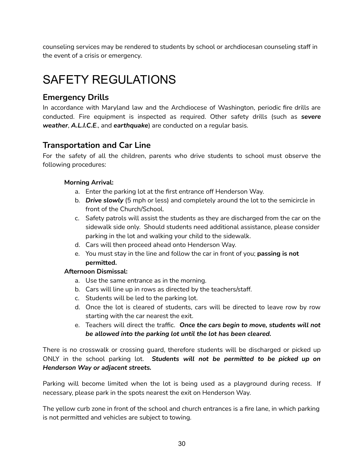counseling services may be rendered to students by school or archdiocesan counseling staff in the event of a crisis or emergency.

# <span id="page-29-0"></span>SAFFTY REGULATIONS

# **Emergency Drills**

In accordance with Maryland law and the Archdiocese of Washington, periodic fire drills are conducted. Fire equipment is inspected as required. Other safety drills (such as *severe weather*, *A.L.I.C.E*., and *earthquake*) are conducted on a regular basis.

#### **Transportation and Car Line**

For the safety of all the children, parents who drive students to school must observe the following procedures:

#### **Morning Arrival:**

- a. Enter the parking lot at the first entrance off Henderson Way.
- b. *Drive slowly* (5 mph or less) and completely around the lot to the semicircle in front of the Church/School.
- c. Safety patrols will assist the students as they are discharged from the car on the sidewalk side only. Should students need additional assistance, please consider parking in the lot and walking your child to the sidewalk.
- d. Cars will then proceed ahead onto Henderson Way.
- e. You must stay in the line and follow the car in front of you; **passing is not permitted.**

#### **Afternoon Dismissal:**

- a. Use the same entrance as in the morning.
- b. Cars will line up in rows as directed by the teachers/staff.
- c. Students will be led to the parking lot.
- d. Once the lot is cleared of students, cars will be directed to leave row by row starting with the car nearest the exit.
- e. Teachers will direct the traffic. *Once the cars begin to move, students will not be allowed into the parking lot until the lot has been cleared.*

There is no crosswalk or crossing guard, therefore students will be discharged or picked up ONLY in the school parking lot. *Students will not be permitted to be picked up on Henderson Way or adjacent streets.*

Parking will become limited when the lot is being used as a playground during recess. If necessary, please park in the spots nearest the exit on Henderson Way.

The yellow curb zone in front of the school and church entrances is a fire lane, in which parking is not permitted and vehicles are subject to towing.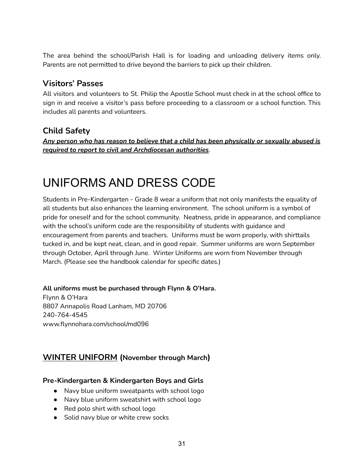The area behind the school/Parish Hall is for loading and unloading delivery items only. Parents are not permitted to drive beyond the barriers to pick up their children.

#### **Visitors' Passes**

All visitors and volunteers to St. Philip the Apostle School must check in at the school office to sign in and receive a visitor's pass before proceeding to a classroom or a school function. This includes all parents and volunteers.

## **Child Safety**

*Any person who has reason to believe that a child has been physically or sexually abused is required to report to civil and Archdiocesan authorities*.

# <span id="page-30-0"></span>UNIFORMS AND DRESS CODE

Students in Pre-Kindergarten - Grade 8 wear a uniform that not only manifests the equality of all students but also enhances the learning environment. The school uniform is a symbol of pride for oneself and for the school community. Neatness, pride in appearance, and compliance with the school's uniform code are the responsibility of students with guidance and encouragement from parents and teachers. Uniforms must be worn properly, with shirttails tucked in, and be kept neat, clean, and in good repair. Summer uniforms are worn September through October, April through June. Winter Uniforms are worn from November through March. (Please see the handbook calendar for specific dates.)

#### **All uniforms must be purchased through Flynn & O'Hara.**

Flynn & O'Hara 8807 Annapolis Road Lanham, MD 20706 240-764-4545 www.flynnohara.com/school/md096

#### **WINTER UNIFORM (November through March)**

#### **Pre-Kindergarten & Kindergarten Boys and Girls**

- Navy blue uniform sweatpants with school logo
- Navy blue uniform sweatshirt with school logo
- Red polo shirt with school logo
- Solid navy blue or white crew socks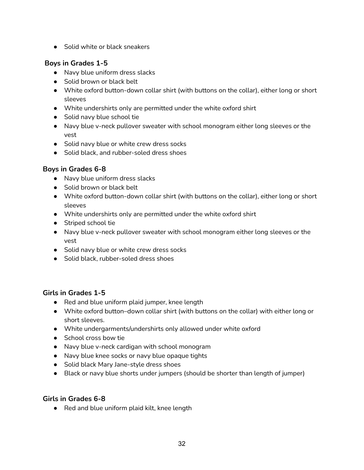● Solid white or black sneakers

#### **Boys in Grades 1-5**

- Navy blue uniform dress slacks
- Solid brown or black belt
- White oxford button-down collar shirt (with buttons on the collar), either long or short sleeves
- White undershirts only are permitted under the white oxford shirt
- Solid navy blue school tie
- Navy blue v-neck pullover sweater with school monogram either long sleeves or the vest
- Solid navy blue or white crew dress socks
- Solid black, and rubber-soled dress shoes

#### **Boys in Grades 6-8**

- Navy blue uniform dress slacks
- Solid brown or black belt
- White oxford button-down collar shirt (with buttons on the collar), either long or short sleeves
- White undershirts only are permitted under the white oxford shirt
- Striped school tie
- Navy blue v-neck pullover sweater with school monogram either long sleeves or the vest
- Solid navy blue or white crew dress socks
- Solid black, rubber-soled dress shoes

#### **Girls in Grades 1-5**

- Red and blue uniform plaid jumper, knee length
- White oxford button–down collar shirt (with buttons on the collar) with either long or short sleeves.
- White undergarments/undershirts only allowed under white oxford
- School cross bow tie
- Navy blue v-neck cardigan with school monogram
- Navy blue knee socks or navy blue opaque tights
- Solid black Mary Jane-style dress shoes
- Black or navy blue shorts under jumpers (should be shorter than length of jumper)

#### **Girls in Grades 6-8**

● Red and blue uniform plaid kilt, knee length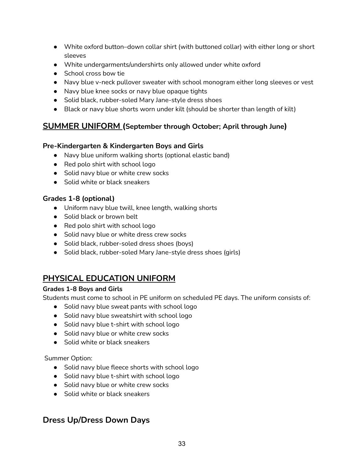- White oxford button–down collar shirt (with buttoned collar) with either long or short sleeves
- White undergarments/undershirts only allowed under white oxford
- School cross bow tie
- Navy blue v-neck pullover sweater with school monogram either long sleeves or vest
- Navy blue knee socks or navy blue opaque tights
- Solid black, rubber-soled Mary Jane-style dress shoes
- Black or navy blue shorts worn under kilt (should be shorter than length of kilt)

#### **SUMMER UNIFORM (September through October; April through June)**

#### **Pre-Kindergarten & Kindergarten Boys and Girls**

- Navy blue uniform walking shorts (optional elastic band)
- Red polo shirt with school logo
- Solid navy blue or white crew socks
- Solid white or black sneakers

#### **Grades 1-8 (optional)**

- Uniform navy blue twill, knee length, walking shorts
- Solid black or brown belt
- Red polo shirt with school logo
- Solid navy blue or white dress crew socks
- Solid black, rubber-soled dress shoes (boys)
- Solid black, rubber-soled Mary Jane-style dress shoes (girls)

## **PHYSICAL EDUCATION UNIFORM**

#### **Grades 1-8 Boys and Girls**

Students must come to school in PE uniform on scheduled PE days. The uniform consists of:

- Solid navy blue sweat pants with school logo
- Solid navy blue sweatshirt with school logo
- Solid navy blue t-shirt with school logo
- Solid navy blue or white crew socks
- Solid white or black sneakers

#### Summer Option:

- Solid navy blue fleece shorts with school logo
- Solid navy blue t-shirt with school logo
- Solid navy blue or white crew socks
- Solid white or black sneakers

#### **Dress Up/Dress Down Days**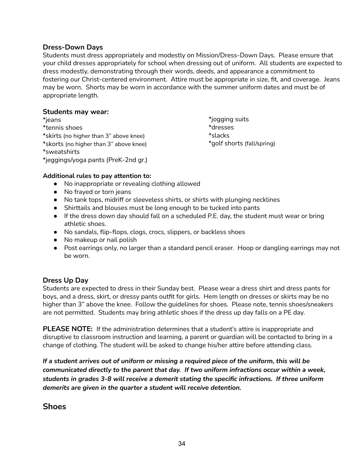#### **Dress-Down Days**

Students must dress appropriately and modestly on Mission/Dress-Down Days. Please ensure that your child dresses appropriately for school when dressing out of uniform. All students are expected to dress modestly, demonstrating through their words, deeds, and appearance a commitment to fostering our Christ-centered environment. Attire must be appropriate in size, fit, and coverage. Jeans may be worn. Shorts may be worn in accordance with the summer uniform dates and must be of appropriate length.

#### **Students may wear:**

\*jeans \*tennis shoes \*skirts (no higher than 3" above knee) \*skorts (no higher than 3" above knee) \*sweatshirts \*jeggings/yoga pants (PreK-2nd gr.) \*jogging suits \*dresses \*slacks \*golf shorts (fall/spring)

#### **Additional rules to pay attention to:**

- No inappropriate or revealing clothing allowed
- No frayed or torn jeans
- No tank tops, midriff or sleeveless shirts, or shirts with plunging necklines
- Shirttails and blouses must be long enough to be tucked into pants
- If the dress down day should fall on a scheduled P.E. day, the student must wear or bring athletic shoes.
- No sandals, flip-flops, clogs, crocs, slippers, or backless shoes
- No makeup or nail polish
- Post earrings only, no larger than a standard pencil eraser. Hoop or dangling earrings may not be worn.

#### **Dress Up Day**

Students are expected to dress in their Sunday best. Please wear a dress shirt and dress pants for boys, and a dress, skirt, or dressy pants outfit for girls. Hem length on dresses or skirts may be no higher than 3" above the knee. Follow the guidelines for shoes. Please note, tennis shoes/sneakers are not permitted. Students may bring athletic shoes if the dress up day falls on a PE day.

**PLEASE NOTE:** If the administration determines that a student's attire is inappropriate and disruptive to classroom instruction and learning, a parent or guardian will be contacted to bring in a change of clothing. The student will be asked to change his/her attire before attending class.

*If a student arrives out of uniform or missing a required piece of the uniform, this will be communicated directly to the parent that day. If two uniform infractions occur within a week, students in grades 3-8 will receive a demerit stating the specific infractions. If three uniform demerits are given in the quarter a student will receive detention.*

#### **Shoes**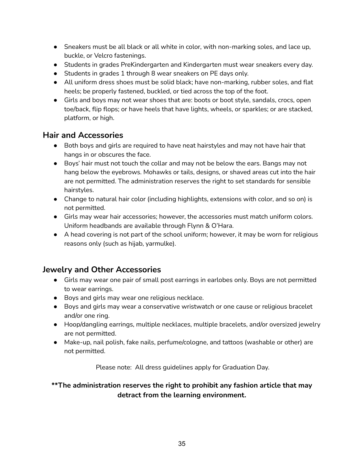- Sneakers must be all black or all white in color, with non-marking soles, and lace up, buckle, or Velcro fastenings.
- Students in grades PreKindergarten and Kindergarten must wear sneakers every day.
- Students in grades 1 through 8 wear sneakers on PE days only.
- All uniform dress shoes must be solid black; have non-marking, rubber soles, and flat heels; be properly fastened, buckled, or tied across the top of the foot.
- Girls and boys may not wear shoes that are: boots or boot style, sandals, crocs, open toe/back, flip flops; or have heels that have lights, wheels, or sparkles; or are stacked, platform, or high.

#### **Hair and Accessories**

- Both boys and girls are required to have neat hairstyles and may not have hair that hangs in or obscures the face.
- Boys' hair must not touch the collar and may not be below the ears. Bangs may not hang below the eyebrows. Mohawks or tails, designs, or shaved areas cut into the hair are not permitted. The administration reserves the right to set standards for sensible hairstyles.
- Change to natural hair color (including highlights, extensions with color, and so on) is not permitted.
- Girls may wear hair accessories; however, the accessories must match uniform colors. Uniform headbands are available through Flynn & O'Hara.
- A head covering is not part of the school uniform; however, it may be worn for religious reasons only (such as hijab, yarmulke).

#### **Jewelry and Other Accessories**

- Girls may wear one pair of small post earrings in earlobes only. Boys are not permitted to wear earrings.
- Boys and girls may wear one religious necklace.
- Boys and girls may wear a conservative wristwatch or one cause or religious bracelet and/or one ring.
- Hoop/dangling earrings, multiple necklaces, multiple bracelets, and/or oversized jewelry are not permitted.
- Make-up, nail polish, fake nails, perfume/cologne, and tattoos (washable or other) are not permitted.

Please note: All dress guidelines apply for Graduation Day.

#### **\*\*The administration reserves the right to prohibit any fashion article that may detract from the learning environment.**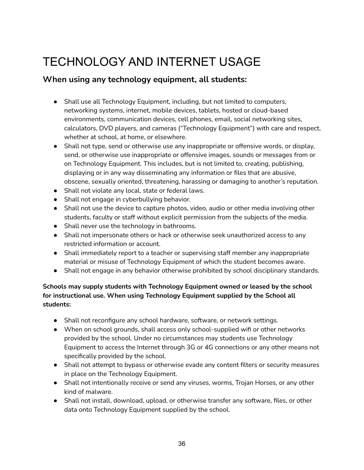# <span id="page-35-0"></span>TECHNOLOGY AND INTERNET USAGE

#### **When using any technology equipment, all students:**

- Shall use all Technology Equipment, including, but not limited to computers, networking systems, internet, mobile devices, tablets, hosted or cloud-based environments, communication devices, cell phones, email, social networking sites, calculators, DVD players, and cameras ("Technology Equipment") with care and respect, whether at school, at home, or elsewhere.
- Shall not type, send or otherwise use any inappropriate or offensive words, or display, send, or otherwise use inappropriate or offensive images, sounds or messages from or on Technology Equipment. This includes, but is not limited to, creating, publishing, displaying or in any way disseminating any information or files that are abusive, obscene, sexually oriented, threatening, harassing or damaging to another's reputation.
- Shall not violate any local, state or federal laws.
- Shall not engage in cyberbullying behavior.
- Shall not use the device to capture photos, video, audio or other media involving other students, faculty or staff without explicit permission from the subjects of the media.
- Shall never use the technology in bathrooms.
- Shall not impersonate others or hack or otherwise seek unauthorized access to any restricted information or account.
- Shall immediately report to a teacher or supervising staff member any inappropriate material or misuse of Technology Equipment of which the student becomes aware.
- Shall not engage in any behavior otherwise prohibited by school disciplinary standards.

#### **Schools may supply students with Technology Equipment owned or leased by the school for instructional use. When using Technology Equipment supplied by the School all students:**

- Shall not reconfigure any school hardware, software, or network settings.
- When on school grounds, shall access only school-supplied wifi or other networks provided by the school. Under no circumstances may students use Technology Equipment to access the Internet through 3G or 4G connections or any other means not specifically provided by the school.
- Shall not attempt to bypass or otherwise evade any content filters or security measures in place on the Technology Equipment.
- Shall not intentionally receive or send any viruses, worms, Trojan Horses, or any other kind of malware.
- Shall not install, download, upload, or otherwise transfer any software, files, or other data onto Technology Equipment supplied by the school.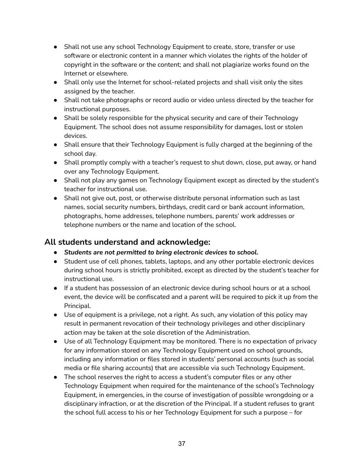- Shall not use any school Technology Equipment to create, store, transfer or use software or electronic content in a manner which violates the rights of the holder of copyright in the software or the content; and shall not plagiarize works found on the Internet or elsewhere.
- Shall only use the Internet for school-related projects and shall visit only the sites assigned by the teacher.
- Shall not take photographs or record audio or video unless directed by the teacher for instructional purposes.
- Shall be solely responsible for the physical security and care of their Technology Equipment. The school does not assume responsibility for damages, lost or stolen devices.
- Shall ensure that their Technology Equipment is fully charged at the beginning of the school day.
- Shall promptly comply with a teacher's request to shut down, close, put away, or hand over any Technology Equipment.
- Shall not play any games on Technology Equipment except as directed by the student's teacher for instructional use.
- Shall not give out, post, or otherwise distribute personal information such as last names, social security numbers, birthdays, credit card or bank account information, photographs, home addresses, telephone numbers, parents' work addresses or telephone numbers or the name and location of the school.

#### **All students understand and acknowledge:**

- *● Students are not permitted to bring electronic devices to school.*
- Student use of cell phones, tablets, laptops, and any other portable electronic devices during school hours is strictly prohibited, except as directed by the student's teacher for instructional use.
- If a student has possession of an electronic device during school hours or at a school event, the device will be confiscated and a parent will be required to pick it up from the Principal.
- Use of equipment is a privilege, not a right. As such, any violation of this policy may result in permanent revocation of their technology privileges and other disciplinary action may be taken at the sole discretion of the Administration.
- Use of all Technology Equipment may be monitored. There is no expectation of privacy for any information stored on any Technology Equipment used on school grounds, including any information or files stored in students' personal accounts (such as social media or file sharing accounts) that are accessible via such Technology Equipment.
- The school reserves the right to access a student's computer files or any other Technology Equipment when required for the maintenance of the school's Technology Equipment, in emergencies, in the course of investigation of possible wrongdoing or a disciplinary infraction, or at the discretion of the Principal. If a student refuses to grant the school full access to his or her Technology Equipment for such a purpose – for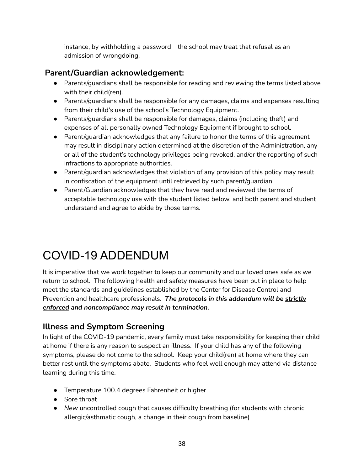instance, by withholding a password – the school may treat that refusal as an admission of wrongdoing.

## **Parent/Guardian acknowledgement:**

- Parents/guardians shall be responsible for reading and reviewing the terms listed above with their child(ren).
- Parents/guardians shall be responsible for any damages, claims and expenses resulting from their child's use of the school's Technology Equipment.
- Parents/guardians shall be responsible for damages, claims (including theft) and expenses of all personally owned Technology Equipment if brought to school.
- Parent/guardian acknowledges that any failure to honor the terms of this agreement may result in disciplinary action determined at the discretion of the Administration, any or all of the student's technology privileges being revoked, and/or the reporting of such infractions to appropriate authorities.
- Parent/guardian acknowledges that violation of any provision of this policy may result in confiscation of the equipment until retrieved by such parent/guardian.
- Parent/Guardian acknowledges that they have read and reviewed the terms of acceptable technology use with the student listed below, and both parent and student understand and agree to abide by those terms.

# <span id="page-37-0"></span>COVID-19 ADDENDUM

It is imperative that we work together to keep our community and our loved ones safe as we return to school. The following health and safety measures have been put in place to help meet the standards and guidelines established by the Center for Disease Control and Prevention and healthcare professionals. *The protocols in this addendum will be strictly enforced and noncompliance may result in termination.*

## **Illness and Symptom Screening**

In light of the COVID-19 pandemic, every family must take responsibility for keeping their child at home if there is any reason to suspect an illness. If your child has any of the following symptoms, please do not come to the school. Keep your child(ren) at home where they can better rest until the symptoms abate. Students who feel well enough may attend via distance learning during this time.

- Temperature 100.4 degrees Fahrenheit or higher
- Sore throat
- *New* uncontrolled cough that causes difficulty breathing (for students with chronic allergic/asthmatic cough, a change in their cough from baseline)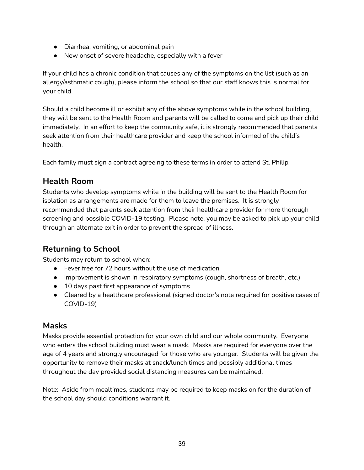- Diarrhea, vomiting, or abdominal pain
- New onset of severe headache, especially with a fever

If your child has a chronic condition that causes any of the symptoms on the list (such as an allergy/asthmatic cough), please inform the school so that our staff knows this is normal for your child.

Should a child become ill or exhibit any of the above symptoms while in the school building, they will be sent to the Health Room and parents will be called to come and pick up their child immediately. In an effort to keep the community safe, it is strongly recommended that parents seek attention from their healthcare provider and keep the school informed of the child's health.

Each family must sign a contract agreeing to these terms in order to attend St. Philip.

#### **Health Room**

Students who develop symptoms while in the building will be sent to the Health Room for isolation as arrangements are made for them to leave the premises. It is strongly recommended that parents seek attention from their healthcare provider for more thorough screening and possible COVID-19 testing. Please note, you may be asked to pick up your child through an alternate exit in order to prevent the spread of illness.

## **Returning to School**

Students may return to school when:

- Fever free for 72 hours without the use of medication
- Improvement is shown in respiratory symptoms (cough, shortness of breath, etc.)
- 10 days past first appearance of symptoms
- Cleared by a healthcare professional (signed doctor's note required for positive cases of COVID-19)

#### **Masks**

Masks provide essential protection for your own child and our whole community. Everyone who enters the school building must wear a mask. Masks are required for everyone over the age of 4 years and strongly encouraged for those who are younger. Students will be given the opportunity to remove their masks at snack/lunch times and possibly additional times throughout the day provided social distancing measures can be maintained.

Note: Aside from mealtimes, students may be required to keep masks on for the duration of the school day should conditions warrant it.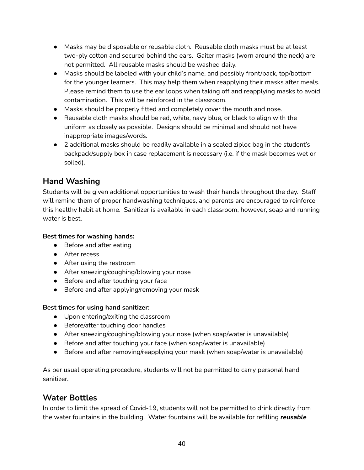- Masks may be disposable or reusable cloth. Reusable cloth masks must be at least two-ply cotton and secured behind the ears. Gaiter masks (worn around the neck) are not permitted. All reusable masks should be washed daily.
- Masks should be labeled with your child's name, and possibly front/back, top/bottom for the younger learners. This may help them when reapplying their masks after meals. Please remind them to use the ear loops when taking off and reapplying masks to avoid contamination. This will be reinforced in the classroom.
- Masks should be properly fitted and completely cover the mouth and nose.
- Reusable cloth masks should be red, white, navy blue, or black to align with the uniform as closely as possible. Designs should be minimal and should not have inappropriate images/words.
- 2 additional masks should be readily available in a sealed ziploc bag in the student's backpack/supply box in case replacement is necessary (i.e. if the mask becomes wet or soiled).

#### **Hand Washing**

Students will be given additional opportunities to wash their hands throughout the day. Staff will remind them of proper handwashing techniques, and parents are encouraged to reinforce this healthy habit at home. Sanitizer is available in each classroom, however, soap and running water is best.

#### **Best times for washing hands:**

- Before and after eating
- After recess
- After using the restroom
- After sneezing/coughing/blowing your nose
- Before and after touching your face
- Before and after applying/removing your mask

#### **Best times for using hand sanitizer:**

- Upon entering/exiting the classroom
- Before/after touching door handles
- After sneezing/coughing/blowing your nose (when soap/water is unavailable)
- Before and after touching your face (when soap/water is unavailable)
- Before and after removing/reapplying your mask (when soap/water is unavailable)

As per usual operating procedure, students will not be permitted to carry personal hand sanitizer.

#### **Water Bottles**

In order to limit the spread of Covid-19, students will not be permitted to drink directly from the water fountains in the building. Water fountains will be available for refilling *reusable*